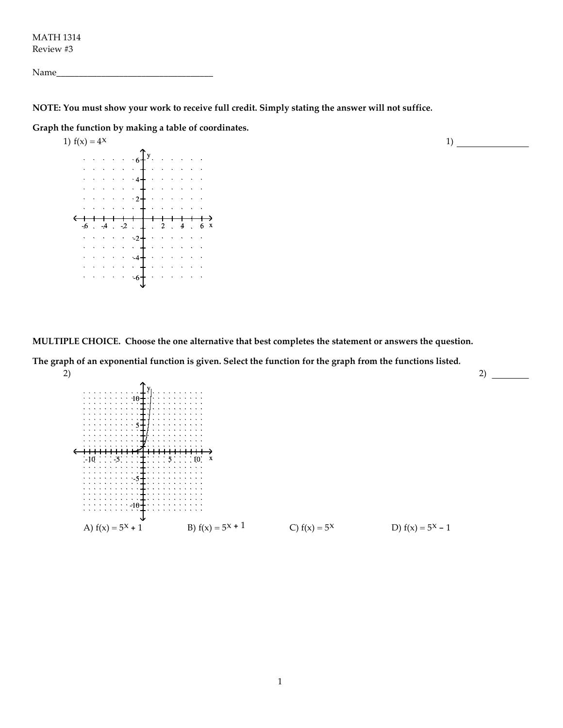MATH 1314 Review #3

| N<br>-<br>___ |
|---------------|
|---------------|

NOTE: You must show your work to receive full credit. Simply stating the answer will not suffice.

Graph the function by making a table of coordinates.



MULTIPLE CHOICE. Choose the one alternative that best completes the statement or answers the question.

The graph of an exponential function is given. Select the function for the graph from the functions listed. 2)



2)  $\frac{1}{2}$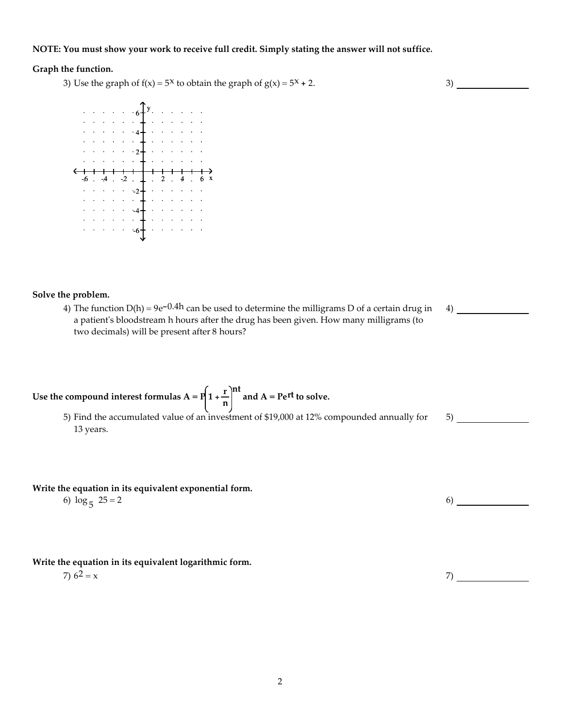#### NOTE: You must show your work to receive full credit. Simply stating the answer will not suffice.

### Graph the function.

3) Use the graph of  $f(x) = 5^x$  to obtain the graph of  $g(x) = 5^x + 2$ .



#### Solve the problem.

4) The function  $D(h) = 9e^{-0.4h}$  can be used to determine the milligrams D of a certain drug in a patient's bloodstream h hours after the drug has been given. How many milligrams (to two decimals) will be present after 8 hours?

4)

5)

Use the compound interest formulas A = P $\left(1+\frac{r}{r}\right)$ n nt and A = Pert to solve.

5) Find the accumulated value of an investment of \$19,000 at 12% compounded annually for 13 years.

### Write the equation in its equivalent exponential form.

6)  $\log_5 25 = 2$  $25 = 2$  6)

## Write the equation in its equivalent logarithmic form.

 $7) 6<sup>2</sup> = x$  7)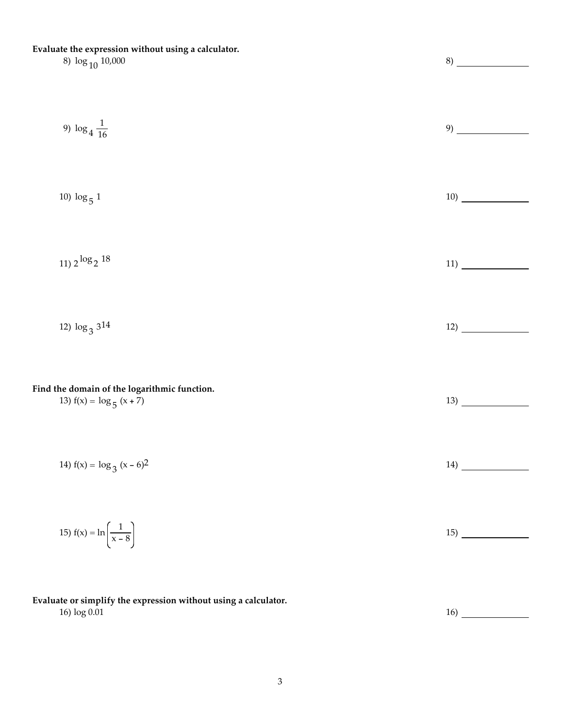## Evaluate the expression without using a calculator.

# 8)  $\log_{10} 10,000$  8)

| 9) $\log_4 \frac{1}{16}$                                                   |     |
|----------------------------------------------------------------------------|-----|
| 10) $\log_5 1$                                                             |     |
| $11)$ 2 $\log_2 18$                                                        | 11) |
| 12) $\log_3 3^{14}$                                                        |     |
| Find the domain of the logarithmic function.<br>13) $f(x) = log_5 (x + 7)$ |     |
| 14) $f(x) = log_3 (x - 6)^2$                                               |     |
| 15) $f(x) = \ln\left(\frac{1}{x-8}\right)$                                 |     |
|                                                                            |     |

Evaluate or simplify the expression without using a calculator.  $16) \log 0.01$  16)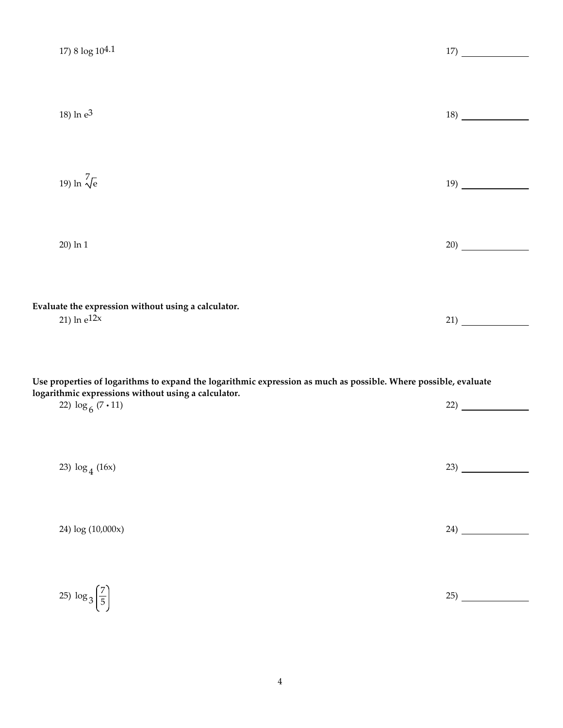| 17) 8 log 104.1                                                                                                                                                                                     |      |
|-----------------------------------------------------------------------------------------------------------------------------------------------------------------------------------------------------|------|
| 18) ln e <sup>3</sup>                                                                                                                                                                               | 18)  |
| 19) ln $\sqrt[7]{e}$                                                                                                                                                                                | 19)  |
| 20) ln 1                                                                                                                                                                                            | (20) |
| Evaluate the expression without using a calculator.<br>21) $ln e^{12x}$                                                                                                                             | 21)  |
| Use properties of logarithms to expand the logarithmic expression as much as possible. Where possible, evaluate<br>logarithmic expressions without using a calculator.<br>22) $\log_6 (7 \cdot 11)$ |      |
| 23) $\log_4(16x)$                                                                                                                                                                                   |      |
| 24) log (10,000x)                                                                                                                                                                                   |      |
| 25) $\log_3\left(\frac{7}{5}\right)$                                                                                                                                                                |      |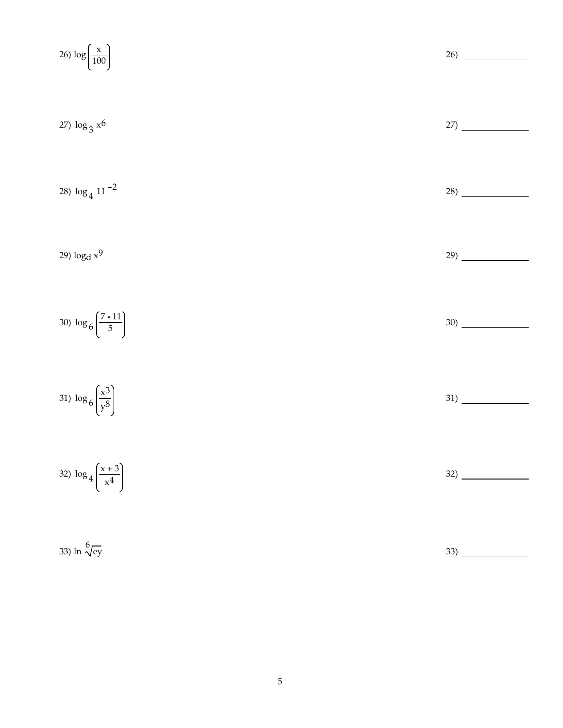26) log 
$$
\left(\frac{x}{100}\right)
$$
  
\n27) log<sub>3</sub> x<sup>6</sup>  
\n28) log<sub>4</sub> 11<sup>-2</sup>  
\n29) log<sub>4</sub> x<sup>9</sup>  
\n30) log<sub>6</sub>  $\left(\frac{7 \cdot 11}{5}\right)$   
\n31) log<sub>6</sub>  $\left(\frac{x^3}{y^8}\right)$   
\n32) log<sub>4</sub>  $\left(\frac{x+3}{x^4}\right)$   
\n33) ln  $\sqrt[6]{\frac{e^3}{x^8}}$   
\n34) ln  $\sqrt[6]{\frac{e^3}{x^9}}$   
\n35) ln  $\sqrt[6]{\frac{e^3}{x^9}}$   
\n36)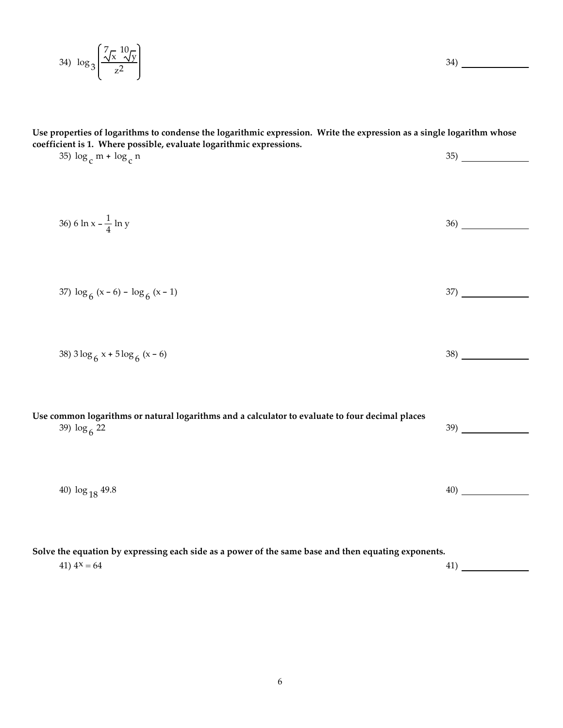$$
34) \log_3\left(\frac{\sqrt[7]{x} \sqrt[10]{y}}{z^2}\right)
$$

Use properties of logarithms to condense the logarithmic expression. Write the expression as a single logarithm whose coefficient is 1. Where possible, evaluate logarithmic expressions.

35) log c m + log c n  $35)$ 36) 6 ln x -  $\frac{1}{4}$ 4  $ln y$  36) 37)  $\log_6 (x - 6) - \log_6$  $(x - 1)$  37) 38) 3  $\log_6 x + 5 \log_6 x$  $(x - 6)$  38) Use common logarithms or natural logarithms and a calculator to evaluate to four decimal places 39)  $\log_6 22$ 22  $\sim$  39) 40)  $\log_{18}$  49.8  $\qquad \qquad \qquad$  40)

Solve the equation by expressing each side as a power of the same base and then equating exponents. 41)  $4^x = 64$  41)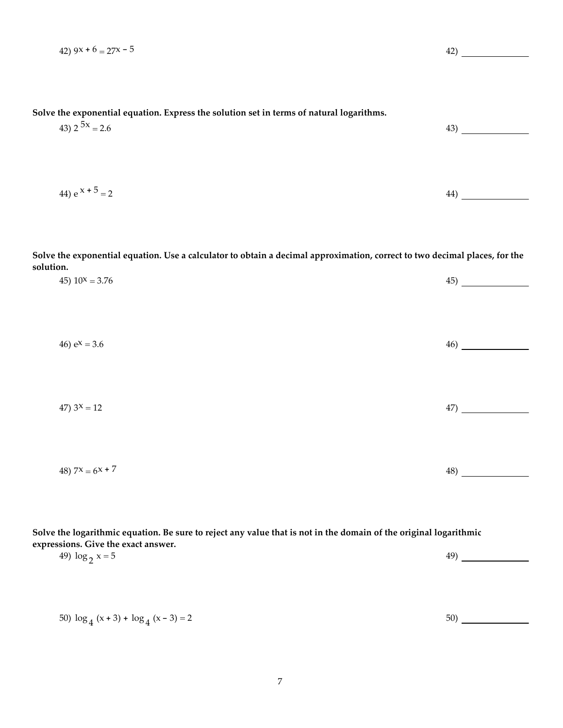| Solve the exponential equation. Express the solution set in terms of natural logarithms.<br>43) $2^{5x} = 2.6$                                                                 |                               |
|--------------------------------------------------------------------------------------------------------------------------------------------------------------------------------|-------------------------------|
| 44) $e^{x + 5} = 2$                                                                                                                                                            |                               |
| Solve the exponential equation. Use a calculator to obtain a decimal approximation, correct to two decimal places, for the                                                     |                               |
| solution.<br>45) $10^x = 3.76$                                                                                                                                                 |                               |
| 46) $e^{x} = 3.6$                                                                                                                                                              |                               |
| 47) $3^x = 12$                                                                                                                                                                 | $\left( \frac{47}{2} \right)$ |
| 48) $7^x = 6^{x} + 7$                                                                                                                                                          | $\left(48\right)$             |
| Solve the logarithmic equation. Be sure to reject any value that is not in the domain of the original logarithmic<br>expressions. Give the exact answer.<br>49) $\log_2 x = 5$ |                               |
| 50) $\log_4(x+3) + \log_4(x-3) = 2$                                                                                                                                            |                               |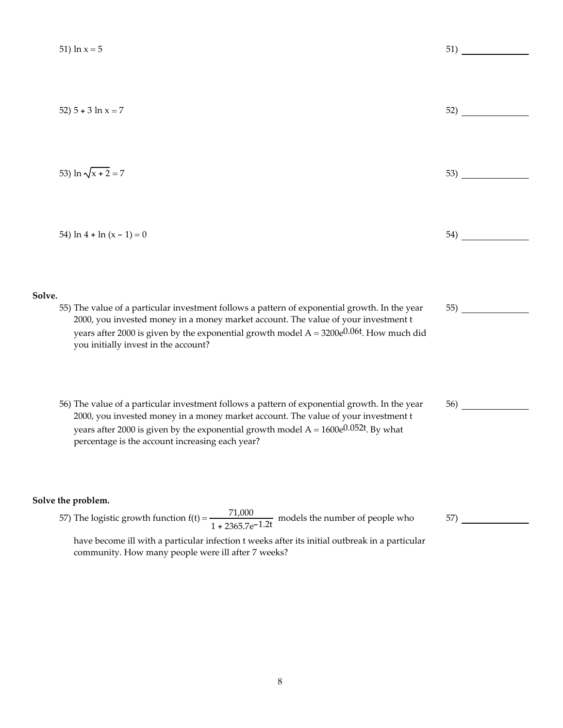|        | 51) $\ln x = 5$                                                                                                                                                                                                                                                                                                                    | 51) |
|--------|------------------------------------------------------------------------------------------------------------------------------------------------------------------------------------------------------------------------------------------------------------------------------------------------------------------------------------|-----|
|        | 52) $5 + 3 \ln x = 7$                                                                                                                                                                                                                                                                                                              | 52) |
|        | 53) $\ln \sqrt{x+2} = 7$                                                                                                                                                                                                                                                                                                           |     |
|        | 54) $\ln 4 + \ln (x - 1) = 0$                                                                                                                                                                                                                                                                                                      | 54) |
| Solve. | 55) The value of a particular investment follows a pattern of exponential growth. In the year<br>2000, you invested money in a money market account. The value of your investment t<br>years after 2000 is given by the exponential growth model $A = 3200e^{0.06t}$ . How much did<br>you initially invest in the account?        | 55) |
|        | 56) The value of a particular investment follows a pattern of exponential growth. In the year<br>2000, you invested money in a money market account. The value of your investment t<br>years after 2000 is given by the exponential growth model $A = 1600e^{0.052t}$ . By what<br>percentage is the account increasing each year? | 56) |
|        | Solve the problem.<br>57) The logistic growth function $f(t) = \frac{71,000}{1 + 2365.7e^{-1.2t}}$ models the number of people who<br>have become ill with a particular infection t weeks after its initial outbreak in a particular                                                                                               | 57) |

community. How many people were ill after 7 weeks?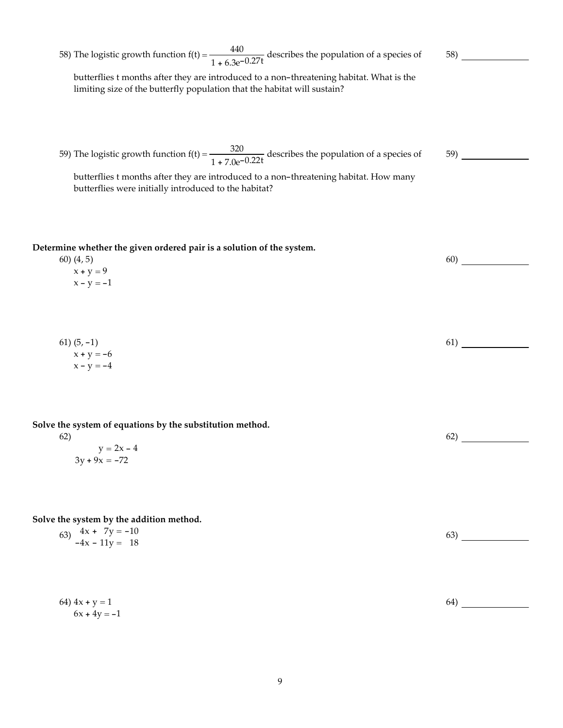| 58) The logistic growth function $f(t) = \frac{440}{1 + 6.3e^{-0.27t}}$ describes the population of a species of                                                                                                                                                   | 58) |
|--------------------------------------------------------------------------------------------------------------------------------------------------------------------------------------------------------------------------------------------------------------------|-----|
| butterflies t months after they are introduced to a non-threatening habitat. What is the<br>limiting size of the butterfly population that the habitat will sustain?                                                                                               |     |
| 59) The logistic growth function $f(t) = \frac{320}{1 + 7.0e^{-0.22t}}$ describes the population of a species of<br>butterflies t months after they are introduced to a non-threatening habitat. How many<br>butterflies were initially introduced to the habitat? | 59) |
| Determine whether the given ordered pair is a solution of the system.<br>$60)$ $(4, 5)$<br>$x + y = 9$<br>$x - y = -1$                                                                                                                                             | 60) |
| 61) $(5, -1)$<br>$x + y = -6$<br>$x - y = -4$                                                                                                                                                                                                                      | 61) |
| Solve the system of equations by the substitution method.<br>62)<br>$y = 2x - 4$<br>$3y + 9x = -72$                                                                                                                                                                | 62) |
| Solve the system by the addition method.<br>63) $4x + 7y = -10$<br>$-4x - 11y = 18$                                                                                                                                                                                | 63) |
| 64) $4x + y = 1$<br>$6x + 4y = -1$                                                                                                                                                                                                                                 | 64) |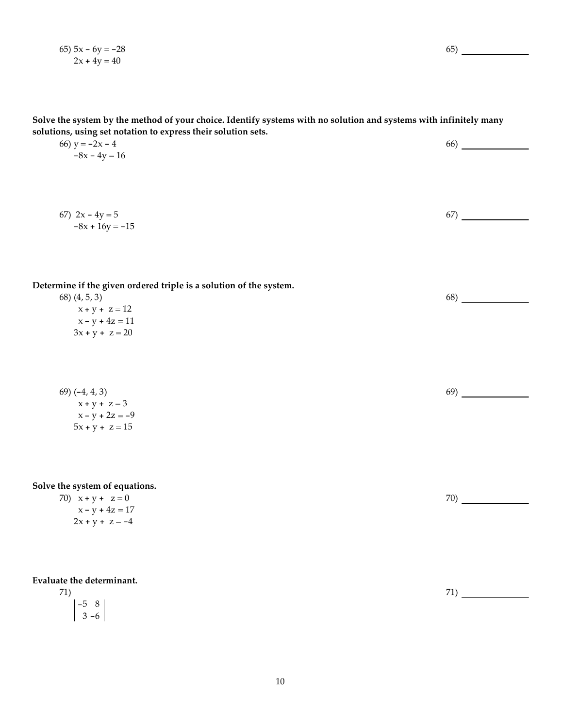65)  $5x - 6y = -28$  $2x + 4y = 40$ 

65)

Solve the system by the method of your choice. Identify systems with no solution and systems with infinitely many solutions, using set notation to express their solution sets.

| 66) $y = -2x - 4$ | 66) |
|-------------------|-----|
| $-8x - 4y = 16$   |     |

67)  $2x - 4y = 5$  $-8x + 16y = -15$ 67)

Determine if the given ordered triple is a solution of the system.

| 68) (4, 5, 3)     |  |
|-------------------|--|
| $x + y + z = 12$  |  |
| $x - y + 4z = 11$ |  |
| $3x + y + z = 20$ |  |

69) (-4, 4, 3)  $x + y + z = 3$  $x - y + 2z = -9$  $5x + y + z = 15$ 

Solve the system of equations.

70)  $x + y + z = 0$  $x - y + 4z = 17$  $2x + y + z = -4$ 

Evaluate the determinant.

71) -5 8  $3 - 6$ 

70)

68)

69)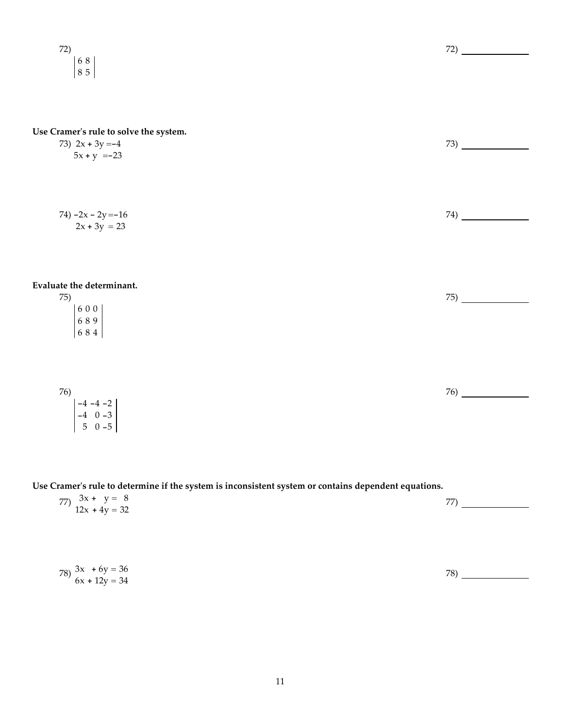72) 6 8 8 5

## Use Cramer's rule to solve the system.

 $-4$  0  $-3$ 5 0 -5

| 73) $2x + 3y = -4$                                | 73) |
|---------------------------------------------------|-----|
| $5x + y = -23$                                    |     |
|                                                   |     |
|                                                   |     |
|                                                   |     |
| 74) $-2x - 2y = -16$                              | 74) |
| $2x + 3y = 23$                                    |     |
|                                                   |     |
|                                                   |     |
|                                                   |     |
| Evaluate the determinant.                         |     |
| 75)                                               | 75) |
|                                                   |     |
| $\begin{array}{c} 6\ 0\ 0 \\ 6\ 8\ 9 \end{array}$ |     |
| 684                                               |     |
|                                                   |     |
|                                                   |     |
|                                                   |     |
|                                                   | 76) |
| 76)<br>$-4 -4 -2$                                 |     |
|                                                   |     |

Use Cramer's rule to determine if the system is inconsistent system or contains dependent equations.

| 77) $3x + y = 8$<br>12x + 4y = 32 | 55. |
|-----------------------------------|-----|
|                                   |     |

| 78) $\begin{cases} 3x + 6y = 36 \\ 6x + 12y = 34 \end{cases}$ | 78` |
|---------------------------------------------------------------|-----|
|                                                               |     |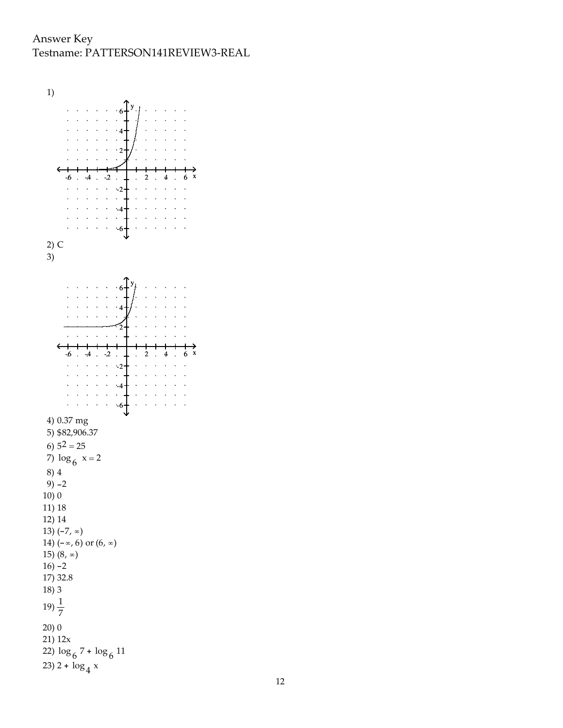Answer Key Testname: PATTERSON141REVIEW3-REAL

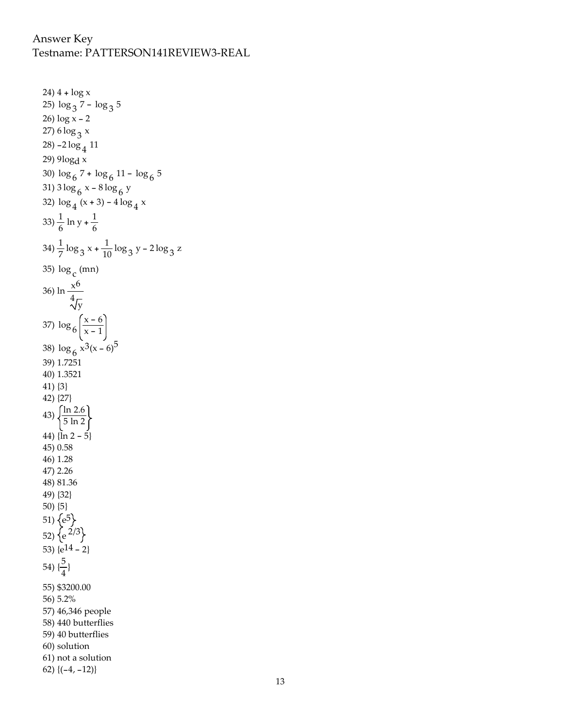## Answer Key Testname: PATTERSON141REVIEW3-REAL

```
24) 4 + log x
25) \log_3 7 - \log_3 526) log x - 2
27) 6 log <sub>3</sub> x
28) -2 log 4
11
29) 9logd x
30) log 6
7 + log 6
11 - log 6
5
31) 3\log_6 x - 8\log_6 y32) \log_4(x+3) - 4\log_4 x33) \frac{1}{6} ln y + \frac{1}{6}6
34) \frac{1}{7} \log_3 x + \frac{1}{10} \log_3 y - 2 \log_3 z35) log
c
(mn)
36) ln \frac{x^6}{\sqrt[4]{y}}37) \log_6 \left( \frac{x-6}{x-1} \right)x - 138) \log_6 x^3 (x-6)^539) 1.7251
40) 1.3521
41) {3}
42) {27}
43) \sqrt{\frac{\ln 2.6}{5 \ln 2}}44) \{ \ln 2 - 5 \}45) 0.58
46) 1.28
47) 2.26
48) 81.36
49) {32}
50) {5}
51) \{e^5\}52) {e<sup>2/3</sup>
53) \{e^{14} - 2\}54) \{\frac{5}{4}\frac{5}{4}55) $3200.00
56) 5.2%
57) 46,346 people
58) 440 butterflies
59) 40 butterflies
60) solution
61) not a solution
62) \{(-4, -12)\}
```